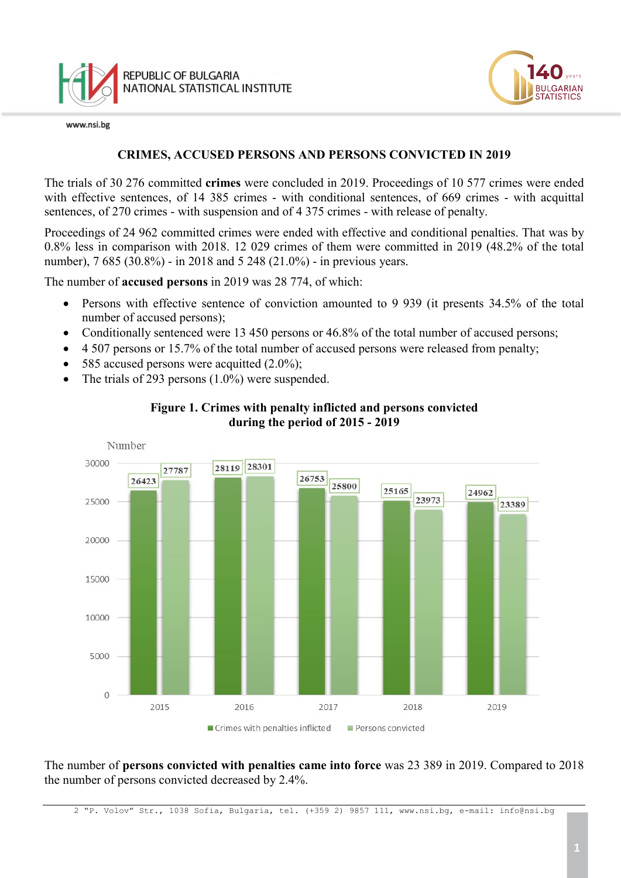

www.nsi.be



### **CRIMES, ACCUSED PERSONS AND PERSONS CONVICTED IN 2019**

The trials of 30 276 committed **crimes** were concluded in 2019. Proceedings of 10 577 crimes were ended with effective sentences, of 14 385 crimes - with conditional sentences, of 669 crimes - with acquittal sentences, of 270 crimes - with suspension and of 4 375 crimes - with release of penalty.

Proceedings of 24 962 committed crimes were ended with effective and conditional penalties. That was by 0.8% less in comparison with 2018. 12 029 crimes of them were committed in 2019 (48.2% of the total number), 7 685 (30.8%) - in 2018 and 5 248 (21.0%) - in previous years.

The number of **accused persons** in 2019 was 28 774, of which:

- Persons with effective sentence of conviction amounted to 9 939 (it presents 34.5% of the total number of accused persons);
- Conditionally sentenced were 13 450 persons or 46.8% of the total number of accused persons;
- 4 507 persons or 15.7% of the total number of accused persons were released from penalty;
- 585 accused persons were acquitted  $(2.0\%)$ ;
- The trials of 293 persons (1.0%) were suspended.



### **Figure 1. Crimes with penalty inflicted and persons convicted during the period of 2015 - 2019**

The number of **persons convicted with penalties came into force** was 23 389 in 2019. Compared to 2018 the number of persons convicted decreased by 2.4%.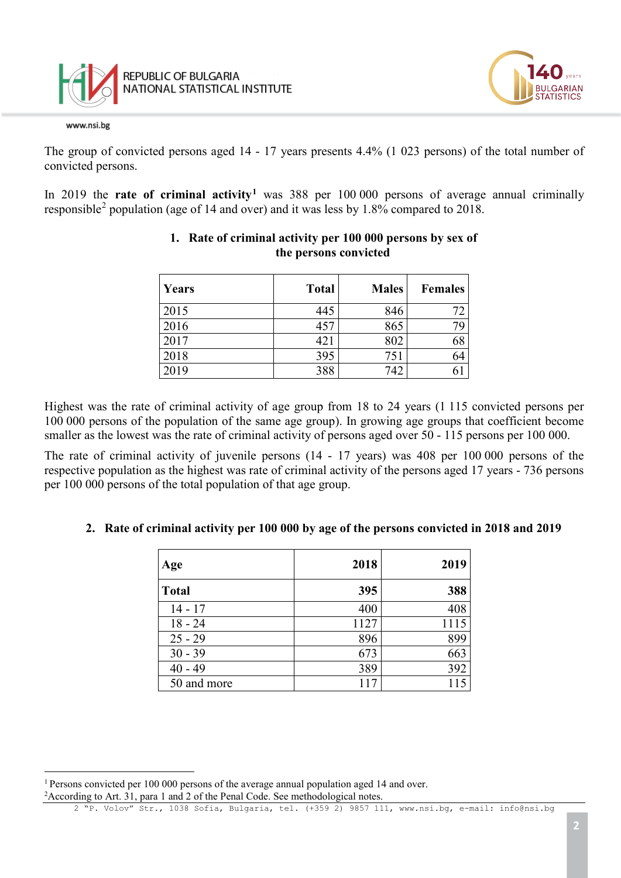



The group of convicted persons aged 14 - 17 years presents 4.4% (1 023 persons) of the total number of convicted persons.

In 2019 the **rate of criminal activity[1](#page-1-0)** was 388 per 100 000 persons of average annual criminally responsible[2](#page-1-1) population (age of 14 and over) and it was less by 1.8% compared to 2018.

| Years | <b>Total</b> | <b>Males</b> | <b>Females</b> |
|-------|--------------|--------------|----------------|
| 2015  | 445          | 846          | 72             |
| 2016  | 457          | 865          | 79             |
| 2017  | 421          | 802          | 68             |
| 2018  | 395          | 751          | 64             |
| 2019  | 388          | 742          |                |

### **1. Rate of criminal activity per 100 000 persons by sex of the persons convicted**

Highest was the rate of criminal activity of age group from 18 to 24 years (1 115 convicted persons per 100 000 persons of the population of the same age group). In growing age groups that coefficient become smaller as the lowest was the rate of criminal activity of persons aged over 50 - 115 persons per 100 000.

The rate of criminal activity of juvenile persons (14 - 17 years) was 408 per 100 000 persons of the respective population as the highest was rate of criminal activity of the persons aged 17 years - 736 persons per 100 000 persons of the total population of that age group.

### **2. Rate of criminal activity per 100 000 by age of the persons convicted in 2018 and 2019**

| Age          | 2018 | 2019 |
|--------------|------|------|
| <b>Total</b> | 395  | 388  |
| $14 - 17$    | 400  | 408  |
| $18 - 24$    | 1127 | 1115 |
| $25 - 29$    | 896  | 899  |
| $30 - 39$    | 673  | 663  |
| $40 - 49$    | 389  | 392  |
| 50 and more  |      | 115  |

<span id="page-1-1"></span><span id="page-1-0"></span>t <sup>1</sup> Persons convicted per 100 000 persons of the average annual population aged 14 and over. <sup>2</sup> According to Art. 31, para 1 and 2 of the Penal Code. See methodological notes.

<sup>2</sup> "P. Volov" Str., 1038 Sofia, Bulgaria, tel. (+359 2) 9857 111, [www.nsi.bg,](http://www.nsi.bg/) e-mail: info@nsi.bg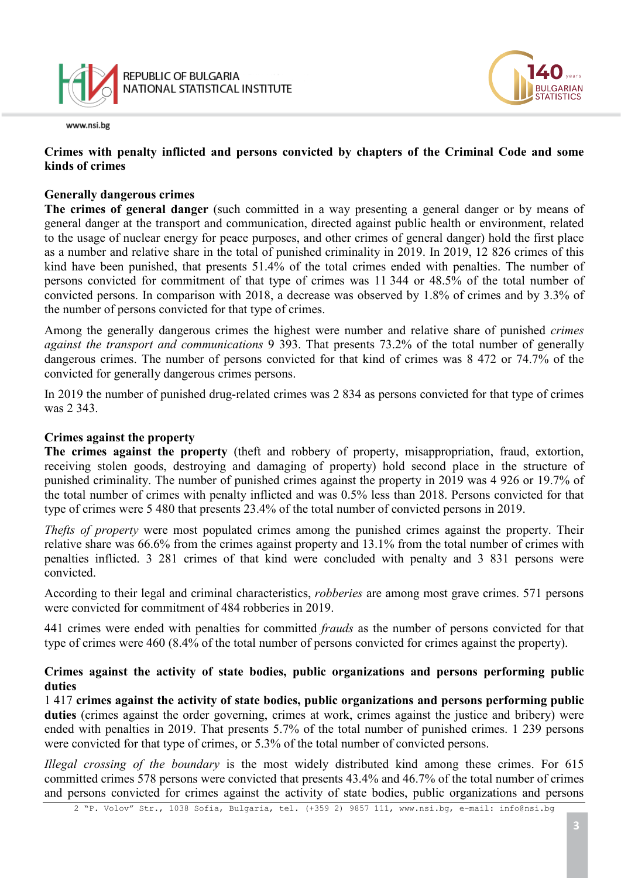

### **Crimes with penalty inflicted and persons convicted by chapters of the Criminal Code and some kinds of crimes**

#### **Generally dangerous crimes**

**The crimes of general danger** (such committed in a way presenting a general danger or by means of general danger at the transport and communication, directed against public health or environment, related to the usage of nuclear energy for peace purposes, and other crimes of general danger) hold the first place as a number and relative share in the total of punished criminality in 2019. In 2019, 12 826 crimes of this kind have been punished, that presents 51.4% of the total crimes ended with penalties. The number of persons convicted for commitment of that type of crimes was 11 344 or 48.5% of the total number of convicted persons. In comparison with 2018, a decrease was observed by 1.8% of crimes and by 3.3% of the number of persons convicted for that type of crimes.

Among the generally dangerous crimes the highest were number and relative share of punished *crimes against the transport and communications* 9 393. That presents 73.2% of the total number of generally dangerous crimes. The number of persons convicted for that kind of crimes was 8 472 or 74.7% of the convicted for generally dangerous crimes persons.

In 2019 the number of punished drug-related crimes was 2 834 as persons convicted for that type of crimes was 2 343.

#### **Crimes against the property**

**The crimes against the property** (theft and robbery of property, misappropriation, fraud, extortion, receiving stolen goods, destroying and damaging of property) hold second place in the structure of punished criminality. The number of punished crimes against the property in 2019 was 4 926 or 19.7% of the total number of crimes with penalty inflicted and was 0.5% less than 2018. Persons convicted for that type of crimes were 5 480 that presents 23.4% of the total number of convicted persons in 2019.

*Thefts of property* were most populated crimes among the punished crimes against the property. Their relative share was 66.6% from the crimes against property and 13.1% from the total number of crimes with penalties inflicted. 3 281 crimes of that kind were concluded with penalty and 3 831 persons were convicted.

According to their legal and criminal characteristics, *robberies* are among most grave crimes. 571 persons were convicted for commitment of 484 robberies in 2019.

441 crimes were ended with penalties for committed *frauds* as the number of persons convicted for that type of crimes were 460 (8.4% of the total number of persons convicted for crimes against the property).

### **Crimes against the activity of state bodies, public organizations and persons performing public duties**

1 417 **crimes against the activity of state bodies, public organizations and persons performing public**  duties (crimes against the order governing, crimes at work, crimes against the justice and bribery) were ended with penalties in 2019. That presents 5.7% of the total number of punished crimes. 1 239 persons were convicted for that type of crimes, or 5.3% of the total number of convicted persons.

*Illegal crossing of the boundary* is the most widely distributed kind among these crimes. For 615 committed crimes 578 persons were convicted that presents 43.4% and 46.7% of the total number of crimes and persons convicted for crimes against the activity of state bodies, public organizations and persons

**JI GARIAN**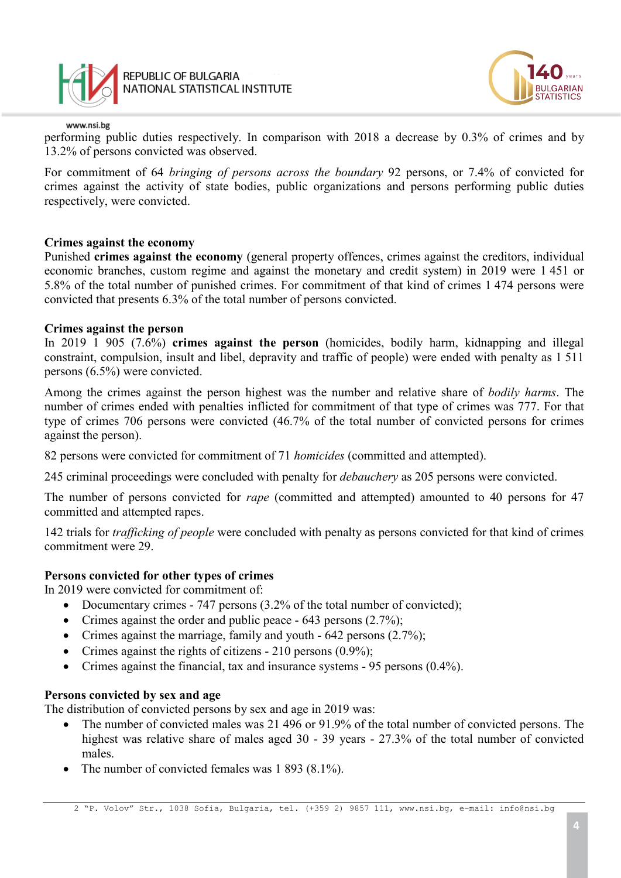



performing public duties respectively. In comparison with 2018 a decrease by 0.3% of crimes and by 13.2% of persons convicted was observed.

For commitment of 64 *bringing of persons across the boundary* 92 persons, or 7.4% of convicted for crimes against the activity of state bodies, public organizations and persons performing public duties respectively, were convicted.

#### **Crimes against the economy**

Punished **crimes against the economy** (general property offences, crimes against the creditors, individual economic branches, custom regime and against the monetary and credit system) in 2019 were 1 451 or 5.8% of the total number of punished crimes. For commitment of that kind of crimes 1 474 persons were convicted that presents 6.3% of the total number of persons convicted.

#### **Crimes against the person**

In 2019 1 905 (7.6%) **crimes against the person** (homicides, bodily harm, kidnapping and illegal constraint, compulsion, insult and libel, depravity and traffic of people) were ended with penalty as 1 511 persons (6.5%) were convicted.

Among the crimes against the person highest was the number and relative share of *bodily harms*. The number of crimes ended with penalties inflicted for commitment of that type of crimes was 777. For that type of crimes 706 persons were convicted (46.7% of the total number of convicted persons for crimes against the person).

82 persons were convicted for commitment of 71 *homicides* (committed and attempted).

245 criminal proceedings were concluded with penalty for *debauchery* as 205 persons were convicted.

The number of persons convicted for *rape* (committed and attempted) amounted to 40 persons for 47 committed and attempted rapes.

142 trials for *trafficking of people* were concluded with penalty as persons convicted for that kind of crimes commitment were 29.

### **Persons convicted for other types of crimes**

In 2019 were convicted for commitment of:

- Documentary crimes 747 persons (3.2% of the total number of convicted);
- Crimes against the order and public peace 643 persons (2.7%);
- Crimes against the marriage, family and youth 642 persons (2.7%);
- Crimes against the rights of citizens 210 persons (0.9%);
- Crimes against the financial, tax and insurance systems 95 persons (0.4%).

### **Persons convicted by sex and age**

The distribution of convicted persons by sex and age in 2019 was:

- The number of convicted males was 21 496 or 91.9% of the total number of convicted persons. The highest was relative share of males aged 30 - 39 years - 27.3% of the total number of convicted males.
- The number of convicted females was 1 893 (8.1%).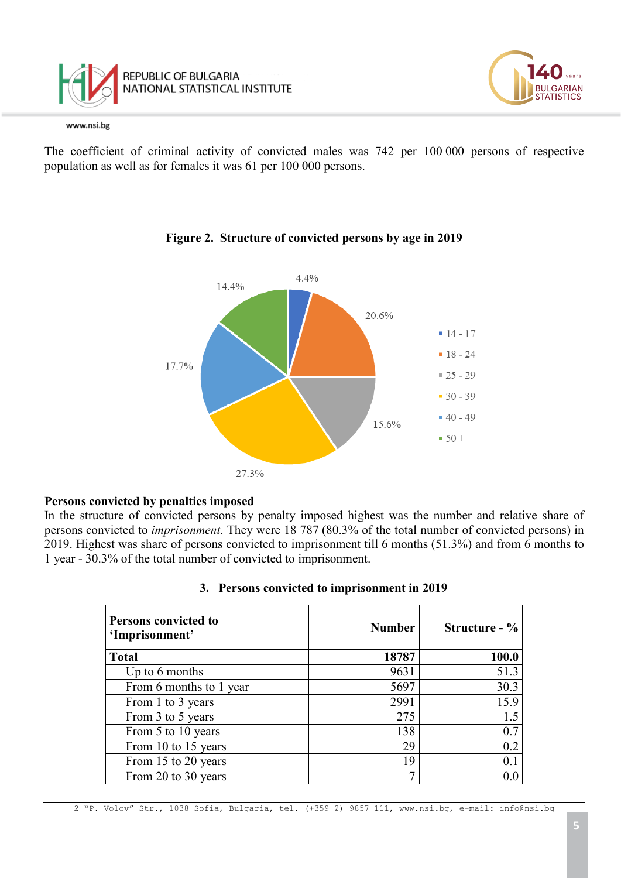



The coefficient of criminal activity of convicted males was 742 per 100 000 persons of respective population as well as for females it was 61 per 100 000 persons.



# **Figure 2. Structure of convicted persons by age in 2019**

### **Persons convicted by penalties imposed**

In the structure of convicted persons by penalty imposed highest was the number and relative share of persons convicted to *imprisonment*. They were 18 787 (80.3% of the total number of convicted persons) in 2019. Highest was share of persons convicted to imprisonment till 6 months (51.3%) and from 6 months to 1 year - 30.3% of the total number of convicted to imprisonment.

| <b>Persons convicted to</b><br>'Imprisonment' | <b>Number</b> | Structure - % |  |
|-----------------------------------------------|---------------|---------------|--|
| <b>Total</b>                                  | 18787         | 100.0         |  |
| Up to $6$ months                              | 9631          | 51.3          |  |
| From 6 months to 1 year                       | 5697          | 30.3          |  |
| From 1 to 3 years                             | 2991          | 15.9          |  |
| From 3 to 5 years                             | 275           | 1.5           |  |
| From 5 to 10 years                            | 138           | 0.7           |  |
| From 10 to 15 years                           | 29            | 0.2           |  |
| From 15 to 20 years                           | 19            | 0.1           |  |
| From 20 to 30 years                           | $\mathcal{I}$ | 0.0           |  |

#### **3. Persons convicted to imprisonment in 2019**

**JLGARIAN TATISTICS**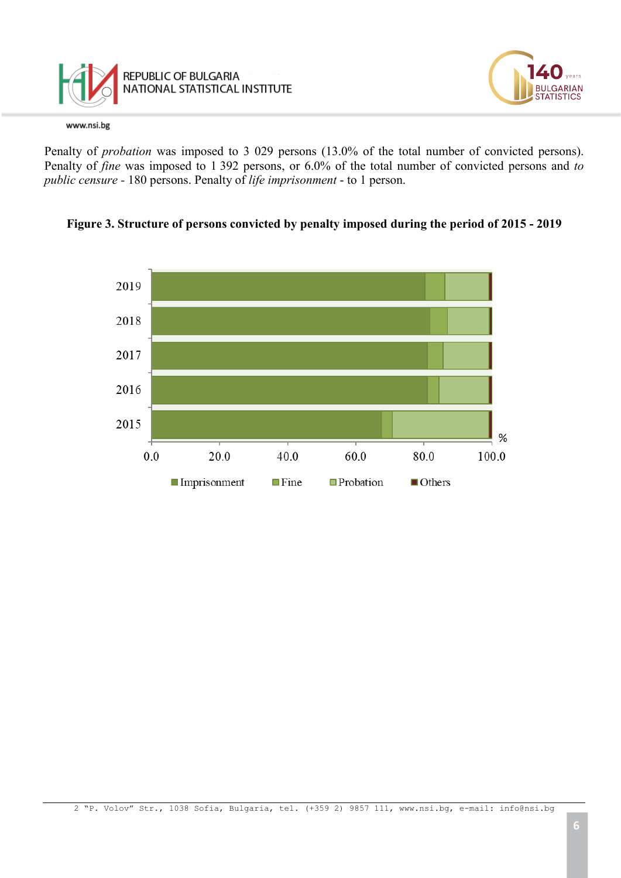



Penalty of *probation* was imposed to 3 029 persons (13.0% of the total number of convicted persons). Penalty of *fine* was imposed to 1 392 persons, or 6.0% of the total number of convicted persons and *to public censure -* 180 persons. Penalty of *life imprisonment* - to 1 person.



#### **Figure 3. Structure of persons convicted by penalty imposed during the period of 2015 - 2019**

LGARIAN **ATISTICS**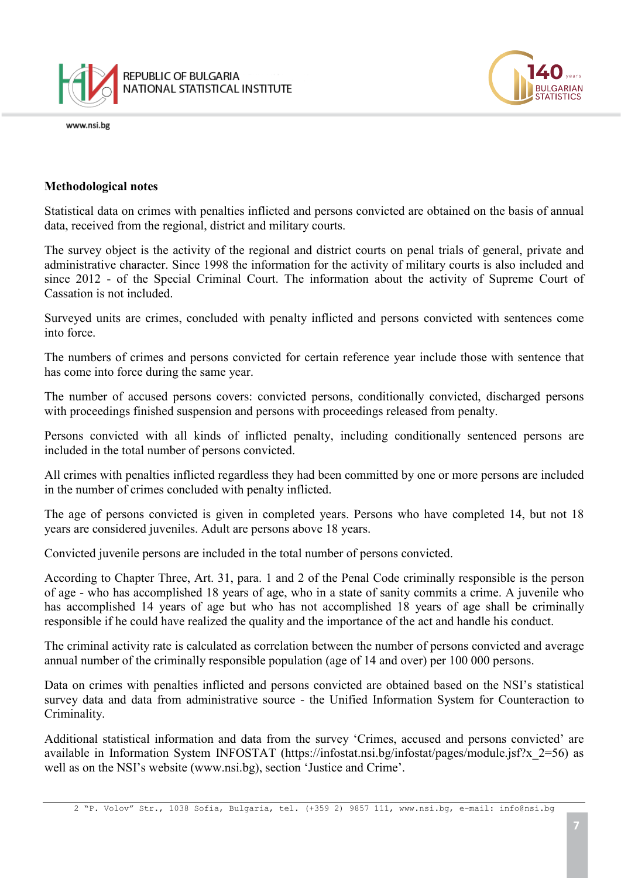



### **Methodological notes**

Statistical data on crimes with penalties inflicted and persons convicted are obtained on the basis of annual data, received from the regional, district and military courts.

The survey object is the activity of the regional and district courts on penal trials of general, private and administrative character. Since 1998 the information for the activity of military courts is also included and since 2012 - of the Special Criminal Court. The information about the activity of Supreme Court of Cassation is not included.

Surveyed units are crimes, concluded with penalty inflicted and persons convicted with sentences come into force.

The numbers of crimes and persons convicted for certain reference year include those with sentence that has come into force during the same year.

The number of accused persons covers: convicted persons, conditionally convicted, discharged persons with proceedings finished suspension and persons with proceedings released from penalty.

Persons convicted with all kinds of inflicted penalty, including conditionally sentenced persons are included in the total number of persons convicted.

All crimes with penalties inflicted regardless they had been committed by one or more persons are included in the number of crimes concluded with penalty inflicted.

The age of persons convicted is given in completed years. Persons who have completed 14, but not 18 years are considered juveniles. Adult are persons above 18 years.

Convicted juvenile persons are included in the total number of persons convicted.

According to Chapter Three, Art. 31, para. 1 and 2 of the Penal Code criminally responsible is the person of age - who has accomplished 18 years of age, who in a state of sanity commits a crime. A juvenile who has accomplished 14 years of age but who has not accomplished 18 years of age shall be criminally responsible if he could have realized the quality and the importance of the act and handle his conduct.

The criminal activity rate is calculated as correlation between the number of persons convicted and average annual number of the criminally responsible population (age of 14 and over) per 100 000 persons.

Data on crimes with penalties inflicted and persons convicted are obtained based on the NSI's statistical survey data and data from administrative source - the Unified Information System for Counteraction to Criminality.

Additional statistical information and data from the survey 'Crimes, accused and persons convicted' are available in Information System INFOSTAT (https://infostat.nsi.bg/infostat/pages/module.jsf?x 2=56) as well as on the NSI's website (www.nsi.bg), section 'Justice and Crime'.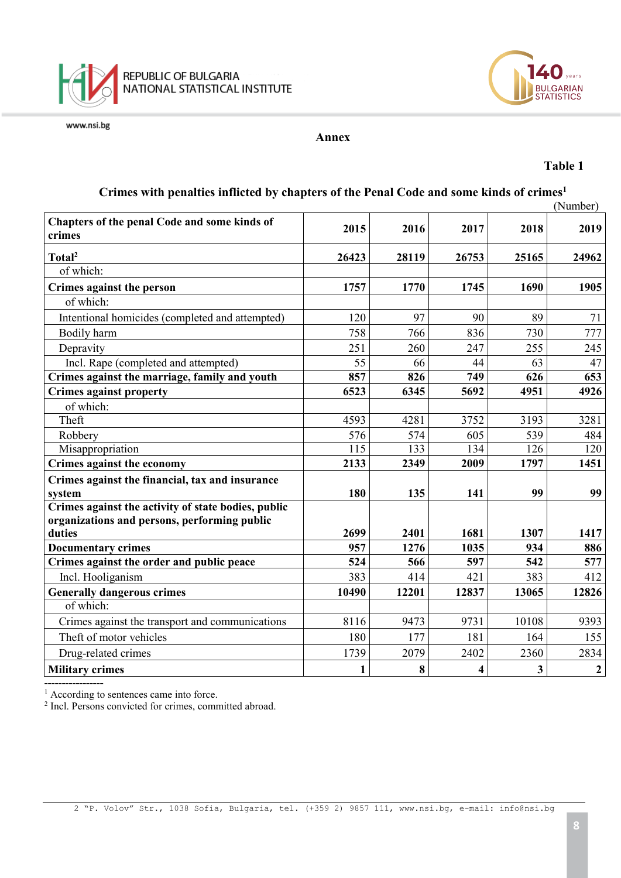



#### **Annex**

#### **Table 1**

# **Crimes with penalties inflicted by chapters of the Penal Code and some kinds of crimes1**

| (Number)                                               |       |       |                         |       |                  |
|--------------------------------------------------------|-------|-------|-------------------------|-------|------------------|
| Chapters of the penal Code and some kinds of<br>crimes | 2015  | 2016  | 2017                    | 2018  | 2019             |
| Total <sup>2</sup>                                     | 26423 | 28119 | 26753                   | 25165 | 24962            |
| of which:                                              |       |       |                         |       |                  |
| Crimes against the person                              | 1757  | 1770  | 1745                    | 1690  | 1905             |
| of which:                                              |       |       |                         |       |                  |
| Intentional homicides (completed and attempted)        | 120   | 97    | 90                      | 89    | 71               |
| Bodily harm                                            | 758   | 766   | 836                     | 730   | 777              |
| Depravity                                              | 251   | 260   | 247                     | 255   | 245              |
| Incl. Rape (completed and attempted)                   | 55    | 66    | 44                      | 63    | 47               |
| Crimes against the marriage, family and youth          | 857   | 826   | 749                     | 626   | 653              |
| <b>Crimes against property</b>                         | 6523  | 6345  | 5692                    | 4951  | 4926             |
| of which:                                              |       |       |                         |       |                  |
| Theft                                                  | 4593  | 4281  | 3752                    | 3193  | 3281             |
| Robbery                                                | 576   | 574   | 605                     | 539   | 484              |
| Misappropriation                                       | 115   | 133   | 134                     | 126   | 120              |
| Crimes against the economy                             | 2133  | 2349  | 2009                    | 1797  | 1451             |
| Crimes against the financial, tax and insurance        |       |       |                         |       |                  |
| system                                                 | 180   | 135   | 141                     | 99    | 99               |
| Crimes against the activity of state bodies, public    |       |       |                         |       |                  |
| organizations and persons, performing public           |       |       |                         |       |                  |
| duties                                                 | 2699  | 2401  | 1681                    | 1307  | 1417             |
| <b>Documentary crimes</b>                              | 957   | 1276  | 1035                    | 934   | 886              |
| Crimes against the order and public peace              | 524   | 566   | 597                     | 542   | 577              |
| Incl. Hooliganism                                      | 383   | 414   | 421                     | 383   | 412              |
| <b>Generally dangerous crimes</b>                      | 10490 | 12201 | 12837                   | 13065 | 12826            |
| of which:                                              |       |       |                         |       |                  |
| Crimes against the transport and communications        | 8116  | 9473  | 9731                    | 10108 | 9393             |
| Theft of motor vehicles                                | 180   | 177   | 181                     | 164   | 155              |
| Drug-related crimes                                    | 1739  | 2079  | 2402                    | 2360  | 2834             |
| <b>Military crimes</b>                                 | 1     | 8     | $\overline{\mathbf{4}}$ | 3     | $\boldsymbol{2}$ |

**-----------------** <sup>1</sup> According to sentences came into force.

<sup>2</sup> Incl. Persons convicted for crimes, committed abroad.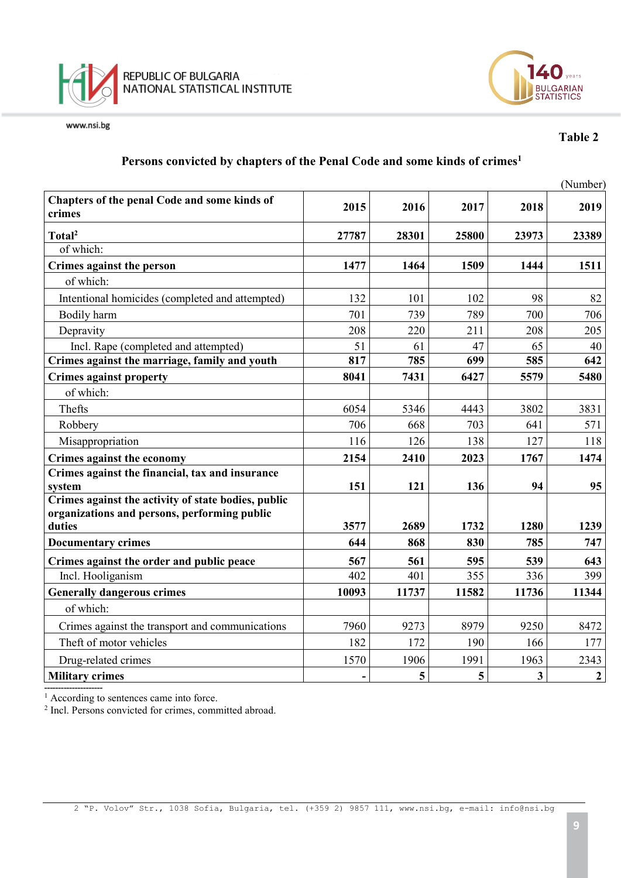



## **Table 2**

# **Persons convicted by chapters of the Penal Code and some kinds of crimes1**

|       |       |       |       | (Number)     |
|-------|-------|-------|-------|--------------|
| 2015  | 2016  | 2017  | 2018  | 2019         |
| 27787 | 28301 | 25800 | 23973 | 23389        |
|       |       |       |       |              |
| 1477  | 1464  | 1509  | 1444  | 1511         |
|       |       |       |       |              |
| 132   | 101   | 102   | 98    | 82           |
| 701   | 739   | 789   | 700   | 706          |
| 208   | 220   | 211   | 208   | 205          |
| 51    | 61    | 47    | 65    | 40           |
| 817   | 785   | 699   | 585   | 642          |
| 8041  | 7431  | 6427  | 5579  | 5480         |
|       |       |       |       |              |
| 6054  | 5346  | 4443  | 3802  | 3831         |
| 706   | 668   | 703   | 641   | 571          |
| 116   | 126   | 138   | 127   | 118          |
| 2154  | 2410  | 2023  | 1767  | 1474         |
|       |       |       |       |              |
|       |       |       |       | 95           |
| 3577  | 2689  | 1732  | 1280  | 1239         |
| 644   | 868   | 830   | 785   | 747          |
| 567   | 561   | 595   | 539   | 643          |
| 402   | 401   | 355   | 336   | 399          |
| 10093 | 11737 | 11582 | 11736 | 11344        |
|       |       |       |       |              |
| 7960  | 9273  | 8979  | 9250  | 8472         |
| 182   | 172   | 190   | 166   | 177          |
| 1570  | 1906  | 1991  | 1963  | 2343         |
|       | 5     | 5     | 3     | $\mathbf{2}$ |
|       | 151   | 121   | 136   | 94           |

<sup>1</sup> According to sentences came into force.

<sup>2</sup> Incl. Persons convicted for crimes, committed abroad.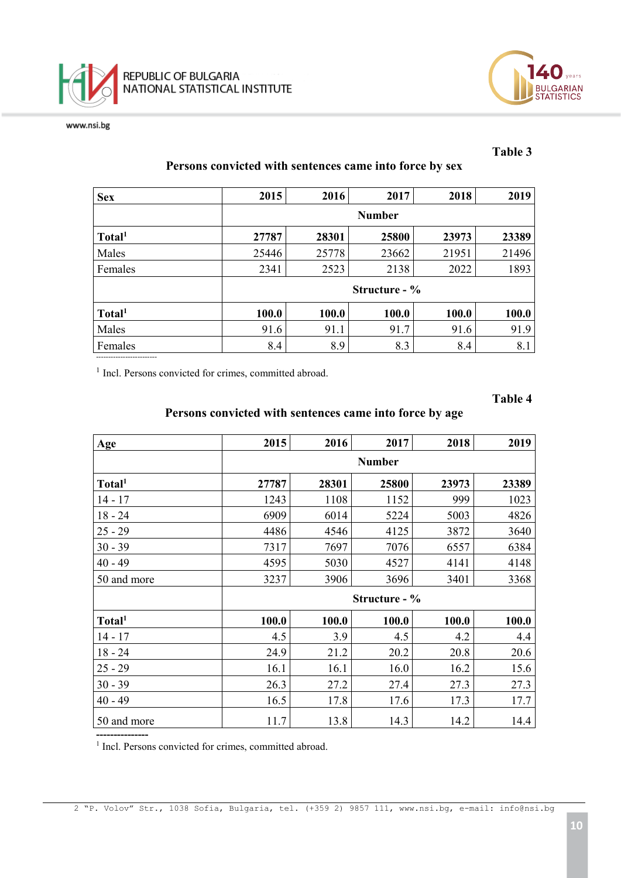



#### **Table 3**

# **Persons convicted with sentences came into force by sex**

| <b>Sex</b>         | 2015          | 2016          | 2017  | 2018  | 2019  |  |
|--------------------|---------------|---------------|-------|-------|-------|--|
|                    | <b>Number</b> |               |       |       |       |  |
| Total <sup>1</sup> | 27787         | 28301         | 25800 | 23973 | 23389 |  |
| Males              | 25446         | 25778         | 23662 | 21951 | 21496 |  |
| Females            | 2341          | 2523          | 2138  | 2022  | 1893  |  |
|                    |               | Structure - % |       |       |       |  |
| Total <sup>1</sup> | 100.0         | 100.0         | 100.0 | 100.0 | 100.0 |  |
| Males              | 91.6          | 91.1          | 91.7  | 91.6  | 91.9  |  |
| Females            | 8.4           | 8.9           | 8.3   | 8.4   | 8.1   |  |

<sup>1</sup> Incl. Persons convicted for crimes, committed abroad.

**Table 4**

# **Persons convicted with sentences came into force by age**

| Age                | 2015          | 2016  | 2017          | 2018  | 2019  |
|--------------------|---------------|-------|---------------|-------|-------|
|                    | <b>Number</b> |       |               |       |       |
| Total <sup>1</sup> | 27787         | 28301 | 25800         | 23973 | 23389 |
| $14 - 17$          | 1243          | 1108  | 1152          | 999   | 1023  |
| $18 - 24$          | 6909          | 6014  | 5224          | 5003  | 4826  |
| $25 - 29$          | 4486          | 4546  | 4125          | 3872  | 3640  |
| $30 - 39$          | 7317          | 7697  | 7076          | 6557  | 6384  |
| $40 - 49$          | 4595          | 5030  | 4527          | 4141  | 4148  |
| 50 and more        | 3237          | 3906  | 3696          | 3401  | 3368  |
|                    |               |       | Structure - % |       |       |
| Total <sup>1</sup> | 100.0         | 100.0 | 100.0         | 100.0 | 100.0 |
| $14 - 17$          | 4.5           | 3.9   | 4.5           | 4.2   | 4.4   |
| $18 - 24$          | 24.9          | 21.2  | 20.2          | 20.8  | 20.6  |
| $25 - 29$          | 16.1          | 16.1  | 16.0          | 16.2  | 15.6  |
| $30 - 39$          | 26.3          | 27.2  | 27.4          | 27.3  | 27.3  |
| $40 - 49$          | 16.5          | 17.8  | 17.6          | 17.3  | 17.7  |
| 50 and more        | 11.7          | 13.8  | 14.3          | 14.2  | 14.4  |

<sup>1</sup> Incl. Persons convicted for crimes, committed abroad.